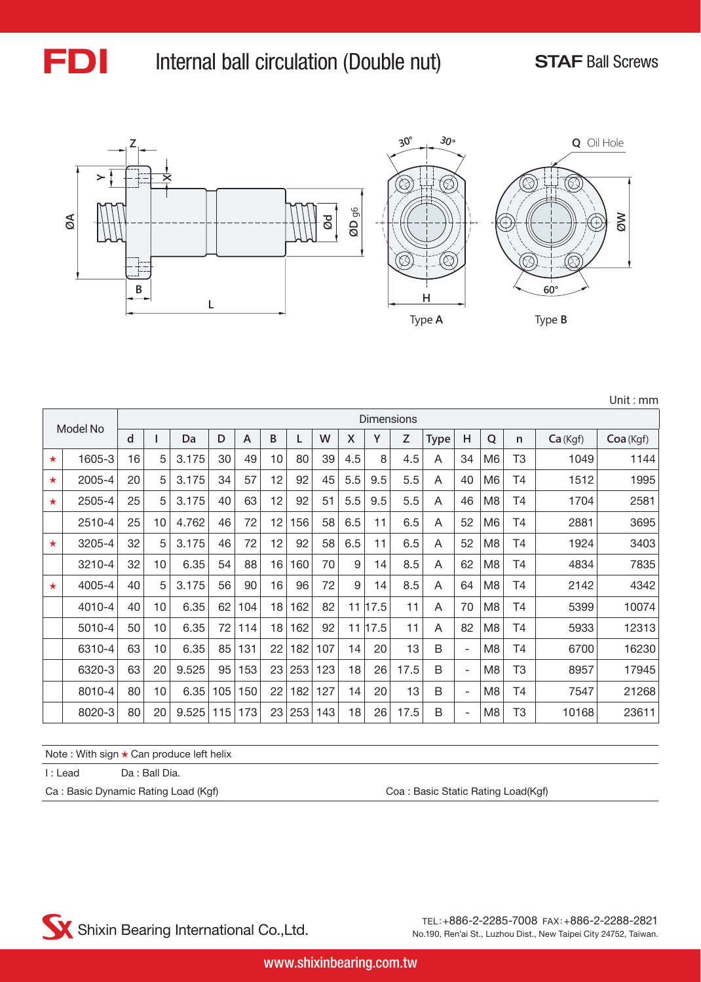

### FDI Internal ball circulation (Double nut) STAF Ball Screws

Unit : mm



|         |          |    |    |       |     |                |    |     |     |     |             | Dimensions |             |                          |                |                |         |          |
|---------|----------|----|----|-------|-----|----------------|----|-----|-----|-----|-------------|------------|-------------|--------------------------|----------------|----------------|---------|----------|
|         | Model No | d  |    | Da    | D   | $\overline{A}$ | B  | L   | W   | Χ   | Υ           | Z          | <b>Type</b> | н                        | Q              | n              | Ca(Kgf) | Coa(Kgf) |
| $\star$ | 1605-3   | 16 | 5  | 3.175 | 30  | 49             | 10 | 80  | 39  | 4.5 | 8           | 4.5        | A           | 34                       | M6             | T <sub>3</sub> | 1049    | 1144     |
| $\star$ | 2005-4   | 20 | 5  | 3.175 | 34  | 57             | 12 | 92  | 45  | 5.5 | 9.5         | 5.5        | A           | 40                       | M <sub>6</sub> | <b>T4</b>      | 1512    | 1995     |
| $\star$ | 2505-4   | 25 | 5  | 3.175 | 40  | 63             | 12 | 92  | 51  | 5.5 | 9.5         | 5.5        | A           | 46                       | M8             | Τ4             | 1704    | 2581     |
|         | 2510-4   | 25 | 10 | 4.762 | 46  | 72             | 12 | 156 | 58  | 6.5 | 11          | 6.5        | A           | 52                       | M <sub>6</sub> | Τ4             | 2881    | 3695     |
| $\star$ | 3205-4   | 32 | 5  | 3.175 | 46  | 72             | 12 | 92  | 58  | 6.5 | 11          | 6.5        | A           | 52                       | M <sub>8</sub> | Τ4             | 1924    | 3403     |
|         | 3210-4   | 32 | 10 | 6.35  | 54  | 88             | 16 | 160 | 70  | 9   | 14          | 8.5        | A           | 62                       | M <sub>8</sub> | <b>T4</b>      | 4834    | 7835     |
| $\star$ | 4005-4   | 40 | 5  | 3.175 | 56  | 90             | 16 | 96  | 72  | 9   | 14          | 8.5        | A           | 64                       | M <sub>8</sub> | T4             | 2142    | 4342     |
|         | 4010-4   | 40 | 10 | 6.35  | 62  | 104            | 18 | 162 | 82  |     | $11$   17.5 | 11         | A           | 70                       | M <sub>8</sub> | <b>T4</b>      | 5399    | 10074    |
|         | 5010-4   | 50 | 10 | 6.35  | 72  | 114            | 18 | 162 | 92  |     | 11 17.5     | 11         | A           | 82                       | M <sub>8</sub> | T4             | 5933    | 12313    |
|         | 6310-4   | 63 | 10 | 6.35  | 85  | 131            | 22 | 182 | 107 | 14  | 20          | 13         | B           | $\overline{\phantom{a}}$ | M <sub>8</sub> | <b>T4</b>      | 6700    | 16230    |
|         | 6320-3   | 63 | 20 | 9.525 | 95  | 153            | 23 | 253 | 123 | 18  | 26          | 17.5       | B           | $\overline{\phantom{a}}$ | M <sub>8</sub> | T <sub>3</sub> | 8957    | 17945    |
|         | 8010-4   | 80 | 10 | 6.35  | 105 | 150            | 22 | 182 | 127 | 14  | 20          | 13         | B           | ٠                        | M <sub>8</sub> | T <sub>4</sub> | 7547    | 21268    |
|         | 8020-3   | 80 | 20 | 9.525 | 115 | 173            | 23 | 253 | 143 | 18  | 26          | 17.5       | B           | $\overline{\phantom{a}}$ | M <sub>8</sub> | T3             | 10168   | 23611    |

Note : With sign ★ Can produce left helix

I : Lead Da : Ball Dia.

Ca : Basic Dynamic Rating Load (Kgf) Ca : Basic Static Rating Load(Kgf)

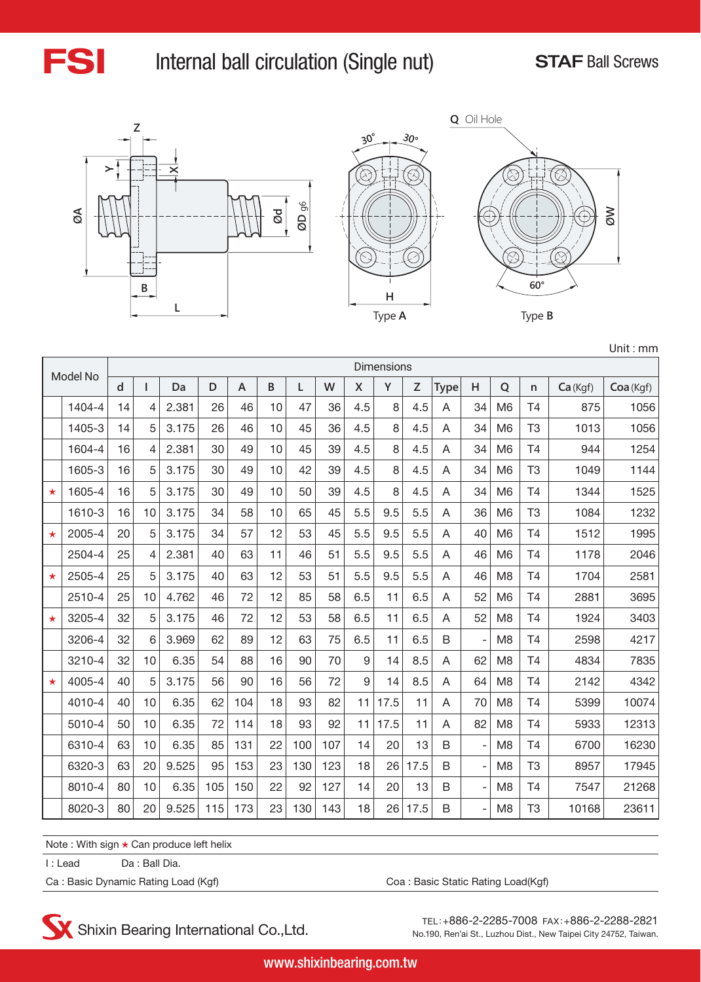

### FSI Internal ball circulation (Single nut) STAF Ball Screws







Unit : mm

|         | Model No |    |    |       |     |                |    |     |     |              | Dimensions |      |             |    |                |                |         |           |
|---------|----------|----|----|-------|-----|----------------|----|-----|-----|--------------|------------|------|-------------|----|----------------|----------------|---------|-----------|
|         |          | d  |    | Da    | D   | $\overline{A}$ | B  | L   | W   | $\mathsf{X}$ | Y          | Z    | <b>Type</b> | H  | Q              | $\mathsf{n}$   | Ca(Kqf) | Coa (Kgf) |
|         | 1404-4   | 14 | 4  | 2.381 | 26  | 46             | 10 | 47  | 36  | 4.5          | 8          | 4.5  | A           | 34 | M <sub>6</sub> | T <sub>4</sub> | 875     | 1056      |
|         | 1405-3   | 14 | 5  | 3.175 | 26  | 46             | 10 | 45  | 36  | 4.5          | 8          | 4.5  | A           | 34 | M <sub>6</sub> | T <sub>3</sub> | 1013    | 1056      |
|         | 1604-4   | 16 | 4  | 2.381 | 30  | 49             | 10 | 45  | 39  | 4.5          | 8          | 4.5  | A           | 34 | M <sub>6</sub> | T <sub>4</sub> | 944     | 1254      |
|         | 1605-3   | 16 | 5  | 3.175 | 30  | 49             | 10 | 42  | 39  | 4.5          | 8          | 4.5  | A           | 34 | M <sub>6</sub> | T <sub>3</sub> | 1049    | 1144      |
| $\star$ | 1605-4   | 16 | 5  | 3.175 | 30  | 49             | 10 | 50  | 39  | 4.5          | 8          | 4.5  | A           | 34 | M <sub>6</sub> | T <sub>4</sub> | 1344    | 1525      |
|         | 1610-3   | 16 | 10 | 3.175 | 34  | 58             | 10 | 65  | 45  | 5.5          | 9.5        | 5.5  | A           | 36 | M <sub>6</sub> | T <sub>3</sub> | 1084    | 1232      |
| $\star$ | 2005-4   | 20 | 5  | 3.175 | 34  | 57             | 12 | 53  | 45  | 5.5          | 9.5        | 5.5  | A           | 40 | M <sub>6</sub> | T4             | 1512    | 1995      |
|         | 2504-4   | 25 | 4  | 2.381 | 40  | 63             | 11 | 46  | 51  | 5.5          | 9.5        | 5.5  | A           | 46 | M <sub>6</sub> | T <sub>4</sub> | 1178    | 2046      |
| $\star$ | 2505-4   | 25 | 5  | 3.175 | 40  | 63             | 12 | 53  | 51  | 5.5          | 9.5        | 5.5  | A           | 46 | M <sub>8</sub> | T4             | 1704    | 2581      |
|         | 2510-4   | 25 | 10 | 4.762 | 46  | 72             | 12 | 85  | 58  | 6.5          | 11         | 6.5  | A           | 52 | M <sub>6</sub> | T <sub>4</sub> | 2881    | 3695      |
| $\star$ | 3205-4   | 32 | 5  | 3.175 | 46  | 72             | 12 | 53  | 58  | 6.5          | 11         | 6.5  | A           | 52 | M <sub>8</sub> | T4             | 1924    | 3403      |
|         | 3206-4   | 32 | 6  | 3.969 | 62  | 89             | 12 | 63  | 75  | 6.5          | 11         | 6.5  | B           | L, | M <sub>8</sub> | T <sub>4</sub> | 2598    | 4217      |
|         | 3210-4   | 32 | 10 | 6.35  | 54  | 88             | 16 | 90  | 70  | 9            | 14         | 8.5  | A           | 62 | M <sub>8</sub> | T4             | 4834    | 7835      |
| $\star$ | 4005-4   | 40 | 5  | 3.175 | 56  | 90             | 16 | 56  | 72  | 9            | 14         | 8.5  | A           | 64 | M <sub>8</sub> | T4             | 2142    | 4342      |
|         | 4010-4   | 40 | 10 | 6.35  | 62  | 104            | 18 | 93  | 82  | 11           | 17.5       | 11   | A           | 70 | M <sub>8</sub> | T <sub>4</sub> | 5399    | 10074     |
|         | 5010-4   | 50 | 10 | 6.35  | 72  | 114            | 18 | 93  | 92  | 11           | 17.5       | 11   | A           | 82 | M <sub>8</sub> | T <sub>4</sub> | 5933    | 12313     |
|         | 6310-4   | 63 | 10 | 6.35  | 85  | 131            | 22 | 100 | 107 | 14           | 20         | 13   | B           |    | M <sub>8</sub> | T <sub>4</sub> | 6700    | 16230     |
|         | 6320-3   | 63 | 20 | 9.525 | 95  | 153            | 23 | 130 | 123 | 18           | 26         | 17.5 | B           | ÷, | M <sub>8</sub> | T <sub>3</sub> | 8957    | 17945     |
|         | 8010-4   | 80 | 10 | 6.35  | 105 | 150            | 22 | 92  | 127 | 14           | 20         | 13   | B           | L, | M <sub>8</sub> | T4             | 7547    | 21268     |
|         | 8020-3   | 80 | 20 | 9.525 | 115 | 173            | 23 | 130 | 143 | 18           | 26         | 17.5 | B           | ÷, | M <sub>8</sub> | T <sub>3</sub> | 10168   | 23611     |

Note : With sign ★ Can produce left helix

I : Lead Da : Ball Dia.

Ca : Basic Dynamic Rating Load (Kgf) Ca : Basic Static Rating Load(Kgf)

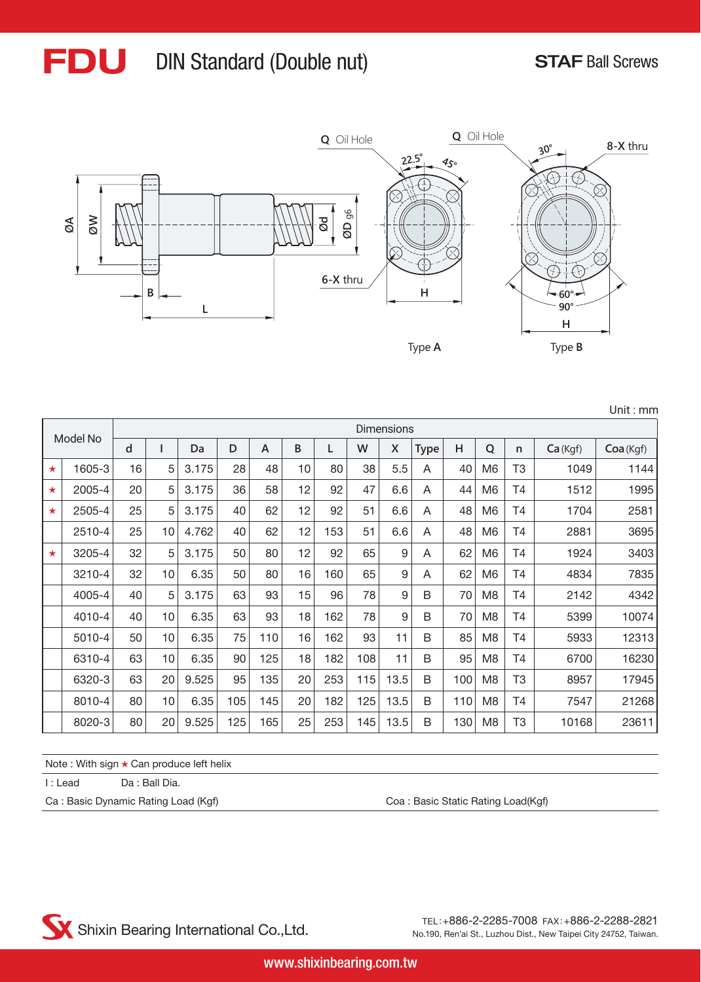# FDU DIN Standard (Double nut) STAF Ball Screws



|         |          |    |    |       |     |     |    |     |     |                   |             |     |                |                |         | Unit: mm  |
|---------|----------|----|----|-------|-----|-----|----|-----|-----|-------------------|-------------|-----|----------------|----------------|---------|-----------|
|         |          |    |    |       |     |     |    |     |     | <b>Dimensions</b> |             |     |                |                |         |           |
|         | Model No | d  |    | Da    | D   | A   | B  | L   | W   | X                 | <b>Type</b> | H   | Q              | n              | Ca(Kgf) | Coa (Kgf) |
| $\star$ | 1605-3   | 16 | 5  | 3.175 | 28  | 48  | 10 | 80  | 38  | 5.5               | A           | 40  | M <sub>6</sub> | T <sub>3</sub> | 1049    | 1144      |
| $\star$ | 2005-4   | 20 | 5  | 3.175 | 36  | 58  | 12 | 92  | 47  | 6.6               | A           | 44  | M <sub>6</sub> | T4             | 1512    | 1995      |
| $\star$ | 2505-4   | 25 | 5  | 3.175 | 40  | 62  | 12 | 92  | 51  | 6.6               | A           | 48  | M <sub>6</sub> | T4             | 1704    | 2581      |
|         | 2510-4   | 25 | 10 | 4.762 | 40  | 62  | 12 | 153 | 51  | 6.6               | A           | 48  | M <sub>6</sub> | T <sub>4</sub> | 2881    | 3695      |
| $\star$ | 3205-4   | 32 | 5  | 3.175 | 50  | 80  | 12 | 92  | 65  | 9                 | A           | 62  | M <sub>6</sub> | T4             | 1924    | 3403      |
|         | 3210-4   | 32 | 10 | 6.35  | 50  | 80  | 16 | 160 | 65  | 9                 | A           | 62  | M6             | T4             | 4834    | 7835      |
|         | 4005-4   | 40 | 5  | 3.175 | 63  | 93  | 15 | 96  | 78  | 9                 | B           | 70  | M8             | <b>T4</b>      | 2142    | 4342      |
|         | 4010-4   | 40 | 10 | 6.35  | 63  | 93  | 18 | 162 | 78  | 9                 | B           | 70  | M8             | T4             | 5399    | 10074     |
|         | 5010-4   | 50 | 10 | 6.35  | 75  | 110 | 16 | 162 | 93  | 11                | B           | 85  | M8             | T4             | 5933    | 12313     |
|         | 6310-4   | 63 | 10 | 6.35  | 90  | 125 | 18 | 182 | 108 | 11                | B           | 95  | M <sub>8</sub> | T <sub>4</sub> | 6700    | 16230     |
|         | 6320-3   | 63 | 20 | 9.525 | 95  | 135 | 20 | 253 | 115 | 13.5              | B           | 100 | M8             | T <sub>3</sub> | 8957    | 17945     |
|         | 8010-4   | 80 | 10 | 6.35  | 105 | 145 | 20 | 182 | 125 | 13.5              | B           | 110 | M <sub>8</sub> | T4             | 7547    | 21268     |
|         | 8020-3   | 80 | 20 | 9.525 | 125 | 165 | 25 | 253 | 145 | 13.5              | B           | 130 | M <sub>8</sub> | T <sub>3</sub> | 10168   | 23611     |

| Note : With sign ★ Can produce left helix |  |  |  |
|-------------------------------------------|--|--|--|
|-------------------------------------------|--|--|--|

I : Lead Da : Ball Dia.

Ca : Basic Dynamic Rating Load (Kgf) Coa : Basic Static Rating Load(Kgf)

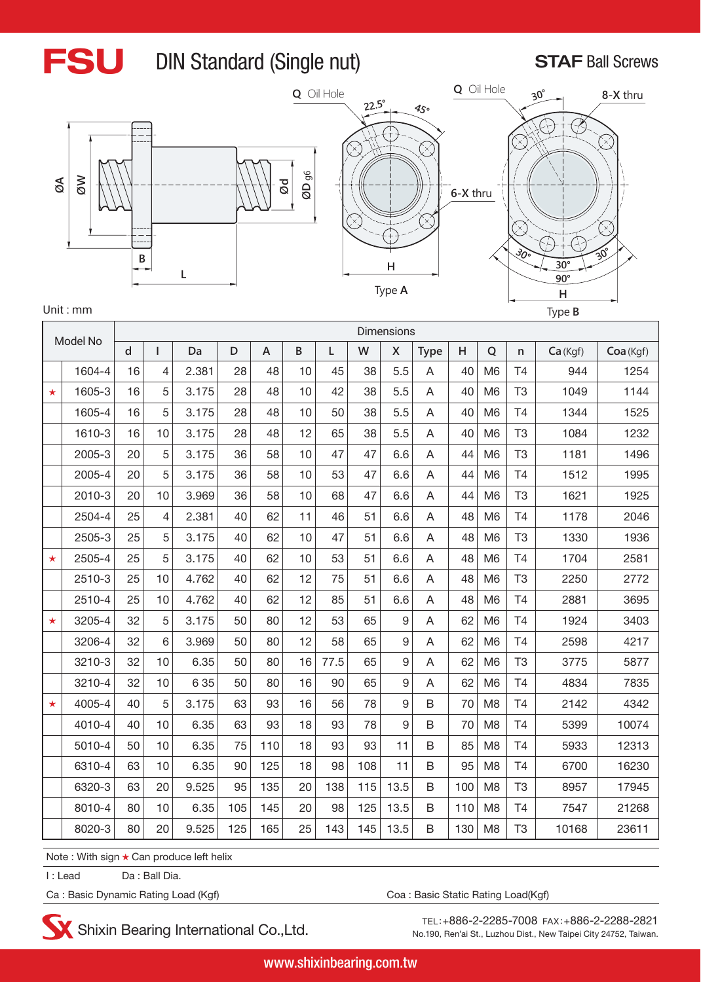

## FSU DIN Standard (Single nut) STAF Ball Screws





| J |                                 |  |
|---|---------------------------------|--|
|   | 300<br>$20^{\circ}$             |  |
|   | $\frac{30^{\circ}}{90^{\circ}}$ |  |
|   | н                               |  |
|   | Type B                          |  |

Unit : mm

|         | Model No |    |                |       |     |                |          |      |     | <b>Dimensions</b> |             |     |                |                |         |           |
|---------|----------|----|----------------|-------|-----|----------------|----------|------|-----|-------------------|-------------|-----|----------------|----------------|---------|-----------|
|         |          | d  | I              | Da    | D   | $\overline{A}$ | $\sf{B}$ | L    | W   | X                 | <b>Type</b> | H   | $\overline{Q}$ | $\mathsf{n}$   | Ca(Kgf) | Coa (Kgf) |
|         | 1604-4   | 16 | 4              | 2.381 | 28  | 48             | 10       | 45   | 38  | 5.5               | A           | 40  | M <sub>6</sub> | T <sub>4</sub> | 944     | 1254      |
| $\star$ | 1605-3   | 16 | 5              | 3.175 | 28  | 48             | 10       | 42   | 38  | 5.5               | A           | 40  | M <sub>6</sub> | T <sub>3</sub> | 1049    | 1144      |
|         | 1605-4   | 16 | 5              | 3.175 | 28  | 48             | 10       | 50   | 38  | 5.5               | A           | 40  | M <sub>6</sub> | T <sub>4</sub> | 1344    | 1525      |
|         | 1610-3   | 16 | 10             | 3.175 | 28  | 48             | 12       | 65   | 38  | 5.5               | A           | 40  | M <sub>6</sub> | T <sub>3</sub> | 1084    | 1232      |
|         | 2005-3   | 20 | 5              | 3.175 | 36  | 58             | 10       | 47   | 47  | 6.6               | A           | 44  | M <sub>6</sub> | T <sub>3</sub> | 1181    | 1496      |
|         | 2005-4   | 20 | 5              | 3.175 | 36  | 58             | 10       | 53   | 47  | 6.6               | A           | 44  | M <sub>6</sub> | T <sub>4</sub> | 1512    | 1995      |
|         | 2010-3   | 20 | 10             | 3.969 | 36  | 58             | 10       | 68   | 47  | 6.6               | A           | 44  | M <sub>6</sub> | T <sub>3</sub> | 1621    | 1925      |
|         | 2504-4   | 25 | $\overline{4}$ | 2.381 | 40  | 62             | 11       | 46   | 51  | 6.6               | A           | 48  | M <sub>6</sub> | T <sub>4</sub> | 1178    | 2046      |
|         | 2505-3   | 25 | 5              | 3.175 | 40  | 62             | 10       | 47   | 51  | 6.6               | A           | 48  | M <sub>6</sub> | T <sub>3</sub> | 1330    | 1936      |
| $\star$ | 2505-4   | 25 | 5              | 3.175 | 40  | 62             | 10       | 53   | 51  | 6.6               | A           | 48  | M <sub>6</sub> | T <sub>4</sub> | 1704    | 2581      |
|         | 2510-3   | 25 | 10             | 4.762 | 40  | 62             | 12       | 75   | 51  | 6.6               | A           | 48  | M <sub>6</sub> | T <sub>3</sub> | 2250    | 2772      |
|         | 2510-4   | 25 | 10             | 4.762 | 40  | 62             | 12       | 85   | 51  | 6.6               | A           | 48  | M <sub>6</sub> | T <sub>4</sub> | 2881    | 3695      |
| $\star$ | 3205-4   | 32 | 5              | 3.175 | 50  | 80             | 12       | 53   | 65  | $\hbox{9}$        | A           | 62  | M <sub>6</sub> | T <sub>4</sub> | 1924    | 3403      |
|         | 3206-4   | 32 | 6              | 3.969 | 50  | 80             | 12       | 58   | 65  | 9                 | A           | 62  | M <sub>6</sub> | T <sub>4</sub> | 2598    | 4217      |
|         | 3210-3   | 32 | 10             | 6.35  | 50  | 80             | 16       | 77.5 | 65  | 9                 | A           | 62  | M <sub>6</sub> | T <sub>3</sub> | 3775    | 5877      |
|         | 3210-4   | 32 | 10             | 6 3 5 | 50  | 80             | 16       | 90   | 65  | 9                 | A           | 62  | M <sub>6</sub> | T <sub>4</sub> | 4834    | 7835      |
| $\star$ | 4005-4   | 40 | 5              | 3.175 | 63  | 93             | 16       | 56   | 78  | 9                 | B           | 70  | M <sub>8</sub> | T <sub>4</sub> | 2142    | 4342      |
|         | 4010-4   | 40 | 10             | 6.35  | 63  | 93             | 18       | 93   | 78  | 9                 | B           | 70  | M <sub>8</sub> | T <sub>4</sub> | 5399    | 10074     |
|         | 5010-4   | 50 | 10             | 6.35  | 75  | 110            | 18       | 93   | 93  | 11                | B           | 85  | M <sub>8</sub> | T <sub>4</sub> | 5933    | 12313     |
|         | 6310-4   | 63 | 10             | 6.35  | 90  | 125            | 18       | 98   | 108 | 11                | B           | 95  | M <sub>8</sub> | T <sub>4</sub> | 6700    | 16230     |
|         | 6320-3   | 63 | 20             | 9.525 | 95  | 135            | 20       | 138  | 115 | 13.5              | B           | 100 | M <sub>8</sub> | T <sub>3</sub> | 8957    | 17945     |
|         | 8010-4   | 80 | 10             | 6.35  | 105 | 145            | 20       | 98   | 125 | 13.5              | B           | 110 | M <sub>8</sub> | T <sub>4</sub> | 7547    | 21268     |
|         | 8020-3   | 80 | 20             | 9.525 | 125 | 165            | 25       | 143  | 145 | 13.5              | B           | 130 | M <sub>8</sub> | T <sub>3</sub> | 10168   | 23611     |

Note : With sign ★ Can produce left helix

I : Lead Da : Ball Dia.

Ca : Basic Dynamic Rating Load (Kgf) Ca : Basic Static Rating Load(Kgf)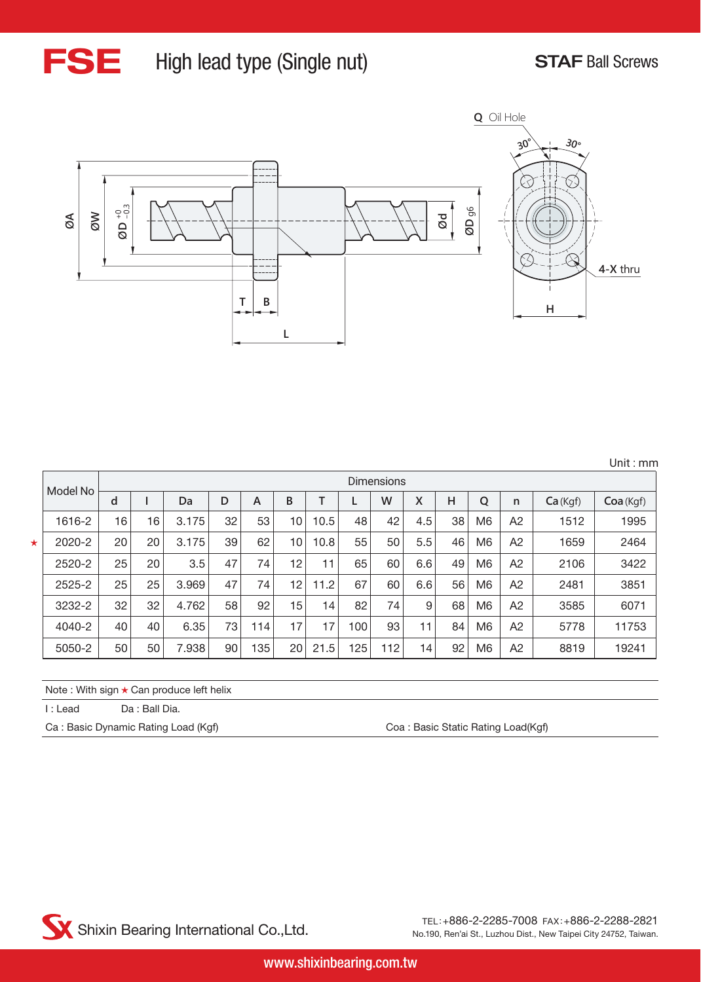

### FSE High lead type (Single nut) STAF Ball Screws



|  | Unit : $mm$ |  |
|--|-------------|--|
|  |             |  |

|         | Model No |    |    |       |    |     |    |                 |     | Dimensions |                 |    |                |                |         |          |
|---------|----------|----|----|-------|----|-----|----|-----------------|-----|------------|-----------------|----|----------------|----------------|---------|----------|
|         |          | d  |    | Da    | D  | A   | B  |                 |     | W          | X               | Н  | Q              | $\mathsf{n}$   | Ca(Kgf) | Coa(Kgf) |
|         | 1616-2   | 16 | 16 | 3.175 | 32 | 53  | 10 | 10.5            | 48  | 42         | 4.5             | 38 | M <sub>6</sub> | A2             | 1512    | 1995     |
| $\star$ | 2020-2   | 20 | 20 | 3.175 | 39 | 62  | 10 | 10.8            | 55  | 50         | 5.5             | 46 | M <sub>6</sub> | A <sub>2</sub> | 1659    | 2464     |
|         | 2520-2   | 25 | 20 | 3.5   | 47 | 74  | 12 | 11              | 65  | 60         | 6.6             | 49 | M <sub>6</sub> | A <sub>2</sub> | 2106    | 3422     |
|         | 2525-2   | 25 | 25 | 3.969 | 47 | 74  | 12 | 11.2            | 67  | 60         | 6.6             | 56 | M6             | A2             | 2481    | 3851     |
|         | 3232-2   | 32 | 32 | 4.762 | 58 | 92  | 15 | 14 <sub>1</sub> | 82  | 74         | 9               | 68 | M6             | A2             | 3585    | 6071     |
|         | 4040-2   | 40 | 40 | 6.35  | 73 | 114 | 17 | 17              | 100 | 93         | 11              | 84 | M <sub>6</sub> | A <sub>2</sub> | 5778    | 11753    |
|         | 5050-2   | 50 | 50 | 7.938 | 90 | 135 | 20 | 21.5            | 125 | 112        | 14 <sub>1</sub> | 92 | M <sub>6</sub> | A <sub>2</sub> | 8819    | 19241    |

Note : With sign ★ Can produce left helix

I : Lead Da : Ball Dia.

Ca : Basic Dynamic Rating Load (Kgf) Ca : Basic Static Rating Load(Kgf)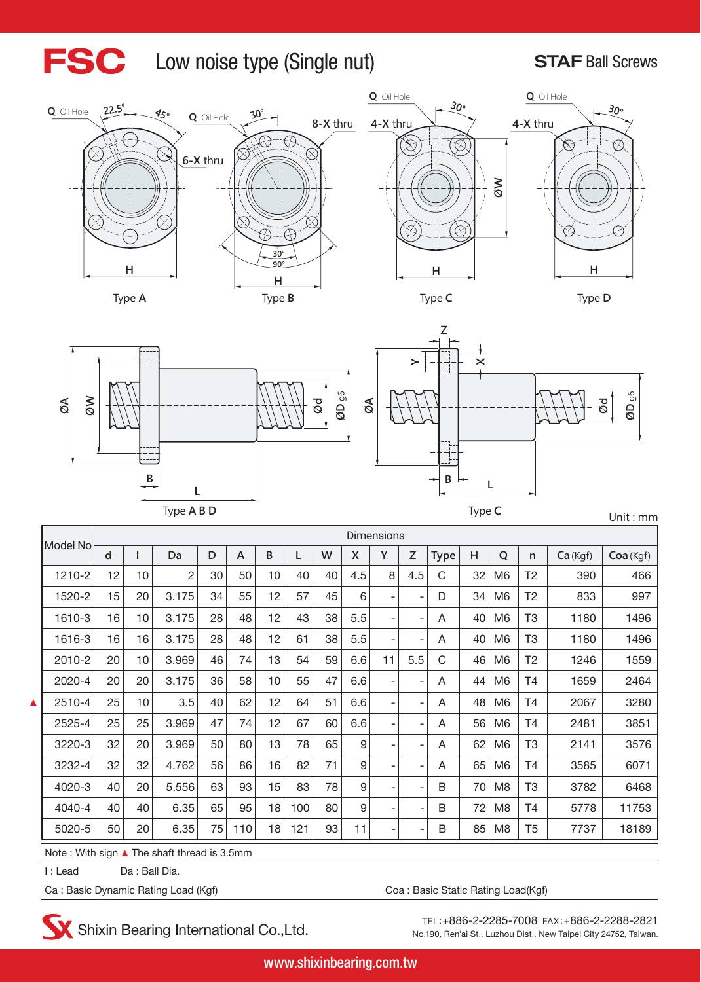#### FSC Low noise type (Single nut) STAF Ball Screws







**Z**



**B L Ød ØD** g6 **Ød ØD** g6 **L B L B L ØA ØW YXØA** Type **A B D** Type **C** Unit : mm

|   | Model No                    |    |    |                                                                        |    |     |    |     |    |     | <b>Dimensions</b>            |                          |             |    |                |                |         |           |
|---|-----------------------------|----|----|------------------------------------------------------------------------|----|-----|----|-----|----|-----|------------------------------|--------------------------|-------------|----|----------------|----------------|---------|-----------|
|   |                             | d  |    | Da                                                                     | D  | A   | B  |     | W  | X   | Y                            | Z                        | <b>Type</b> | H  | Q              | $\mathsf{n}$   | Ca(Kgf) | Coa (Kgf) |
|   | 1210-2                      | 12 | 10 | 2                                                                      | 30 | 50  | 10 | 40  | 40 | 4.5 | 8                            | 4.5                      | C           | 32 | M <sub>6</sub> | T <sub>2</sub> | 390     | 466       |
|   | 1520-2                      | 15 | 20 | 3.175                                                                  | 34 | 55  | 12 | 57  | 45 | 6   | ۰                            | $\overline{\phantom{a}}$ | D           | 34 | M <sub>6</sub> | T2             | 833     | 997       |
|   | 1610-3                      | 16 | 10 | 3.175                                                                  | 28 | 48  | 12 | 43  | 38 | 5.5 | -                            | $\overline{\phantom{a}}$ | A           | 40 | M <sub>6</sub> | T <sub>3</sub> | 1180    | 1496      |
|   | 1616-3                      | 16 | 16 | 3.175                                                                  | 28 | 48  | 12 | 61  | 38 | 5.5 | $\qquad \qquad \blacksquare$ | $\overline{\phantom{a}}$ | A           | 40 | M <sub>6</sub> | T3             | 1180    | 1496      |
|   | 2010-2                      | 20 | 10 | 3.969                                                                  | 46 | 74  | 13 | 54  | 59 | 6.6 | 11                           | 5.5                      | C           | 46 | M <sub>6</sub> | T <sub>2</sub> | 1246    | 1559      |
|   | 2020-4                      | 20 | 20 | 3.175                                                                  | 36 | 58  | 10 | 55  | 47 | 6.6 | -                            | $\overline{\phantom{a}}$ | A           | 44 | M <sub>6</sub> | T4             | 1659    | 2464      |
| ▲ | 2510-4                      | 25 | 10 | 3.5                                                                    | 40 | 62  | 12 | 64  | 51 | 6.6 | ۰                            | -                        | A           | 48 | M <sub>6</sub> | Τ4             | 2067    | 3280      |
|   | 2525-4                      | 25 | 25 | 3.969                                                                  | 47 | 74  | 12 | 67  | 60 | 6.6 | ۰                            | $\overline{\phantom{0}}$ | A           | 56 | M <sub>6</sub> | Τ4             | 2481    | 3851      |
|   | 3220-3                      | 32 | 20 | 3.969                                                                  | 50 | 80  | 13 | 78  | 65 | 9   | ۰                            | $\overline{a}$           | A           | 62 | M <sub>6</sub> | T3             | 2141    | 3576      |
|   | 3232-4                      | 32 | 32 | 4.762                                                                  | 56 | 86  | 16 | 82  | 71 | 9   | ۰                            | $\overline{a}$           | A           | 65 | M <sub>6</sub> | Τ4             | 3585    | 6071      |
|   | 4020-3                      | 40 | 20 | 5.556                                                                  | 63 | 93  | 15 | 83  | 78 | 9   | -                            | $\overline{a}$           | B           | 70 | M <sub>8</sub> | T3             | 3782    | 6468      |
|   | 4040-4                      | 40 | 40 | 6.35                                                                   | 65 | 95  | 18 | 100 | 80 | 9   | ۰                            | ۰                        | B           | 72 | M <sub>8</sub> | T4             | 5778    | 11753     |
|   | 5020-5                      | 50 | 20 | 6.35                                                                   | 75 | 110 | 18 | 121 | 93 | 11  | -                            | $\overline{a}$           | B           | 85 | M <sub>8</sub> | T <sub>5</sub> | 7737    | 18189     |
|   | $M = 1 - 1$ $M = 1$ $M = 1$ |    |    | The contract theory and $\mathcal{L}_1$ $\Omega$ $\Gamma_{\text{max}}$ |    |     |    |     |    |     |                              |                          |             |    |                |                |         |           |

Note : With sign ▲ The shaft thread is 3.5mm

I : Lead Da : Ball Dia.

Ca : Basic Dynamic Rating Load (Kgf) Ca : Basic Static Rating Load(Kgf)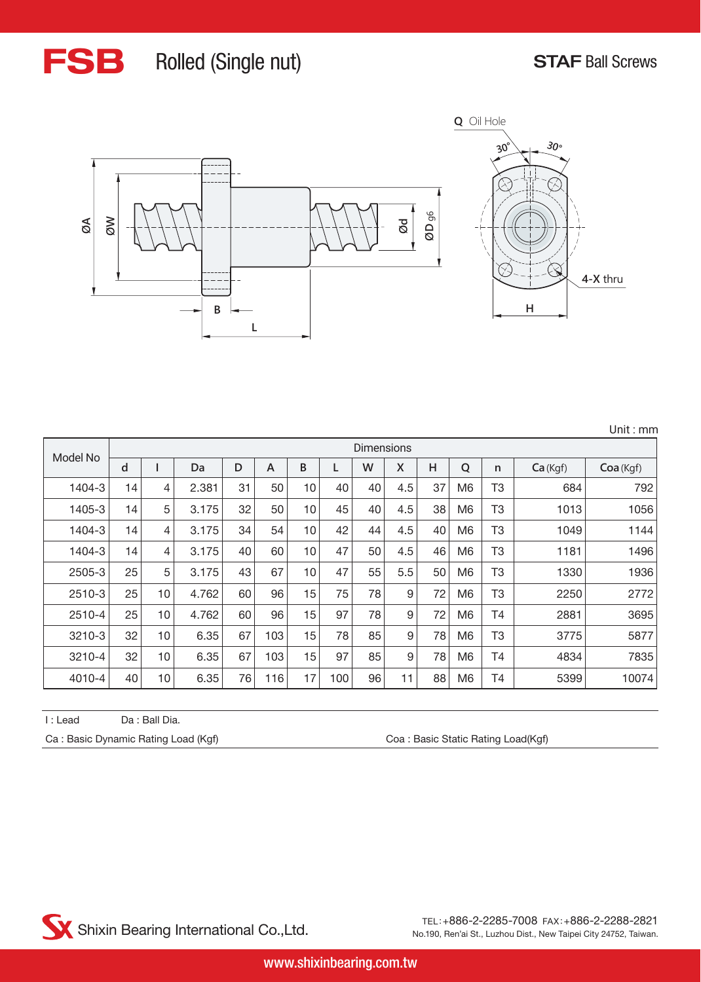## FSB Rolled (Single nut) STAF Ball Screws



|  | Unit: $mm$ |
|--|------------|
|  |            |

|          |    |    |       |    |     |    |     | <b>Dimensions</b> |     |    |                |                |         |          |
|----------|----|----|-------|----|-----|----|-----|-------------------|-----|----|----------------|----------------|---------|----------|
| Model No | d  |    | Da    | D  | A   | B  |     | W                 | X   | Н  | $\overline{Q}$ | n              | Ca(Kgf) | Coa(Kgf) |
| 1404-3   | 14 | 4  | 2.381 | 31 | 50  | 10 | 40  | 40                | 4.5 | 37 | M6             | T3             | 684     | 792      |
| 1405-3   | 14 | 5  | 3.175 | 32 | 50  | 10 | 45  | 40                | 4.5 | 38 | M <sub>6</sub> | T3             | 1013    | 1056     |
| 1404-3   | 14 | 4  | 3.175 | 34 | 54  | 10 | 42  | 44                | 4.5 | 40 | M6             | T <sub>3</sub> | 1049    | 1144     |
| 1404-3   | 14 | 4  | 3.175 | 40 | 60  | 10 | 47  | 50                | 4.5 | 46 | M6             | T3             | 1181    | 1496     |
| 2505-3   | 25 | 5  | 3.175 | 43 | 67  | 10 | 47  | 55                | 5.5 | 50 | M <sub>6</sub> | T3             | 1330    | 1936     |
| 2510-3   | 25 | 10 | 4.762 | 60 | 96  | 15 | 75  | 78                | 9   | 72 | M <sub>6</sub> | T3             | 2250    | 2772     |
| 2510-4   | 25 | 10 | 4.762 | 60 | 96  | 15 | 97  | 78                | 9   | 72 | M <sub>6</sub> | Τ4             | 2881    | 3695     |
| 3210-3   | 32 | 10 | 6.35  | 67 | 103 | 15 | 78  | 85                | 9   | 78 | M <sub>6</sub> | T3             | 3775    | 5877     |
| 3210-4   | 32 | 10 | 6.35  | 67 | 103 | 15 | 97  | 85                | 9   | 78 | M <sub>6</sub> | Τ4             | 4834    | 7835     |
| 4010-4   | 40 | 10 | 6.35  | 76 | 116 | 17 | 100 | 96                | 11  | 88 | M <sub>6</sub> | Τ4             | 5399    | 10074    |

I : Lead Da : Ball Dia.

Ca : Basic Dynamic Rating Load (Kgf) Ca : Basic Static Rating Load (Kgf)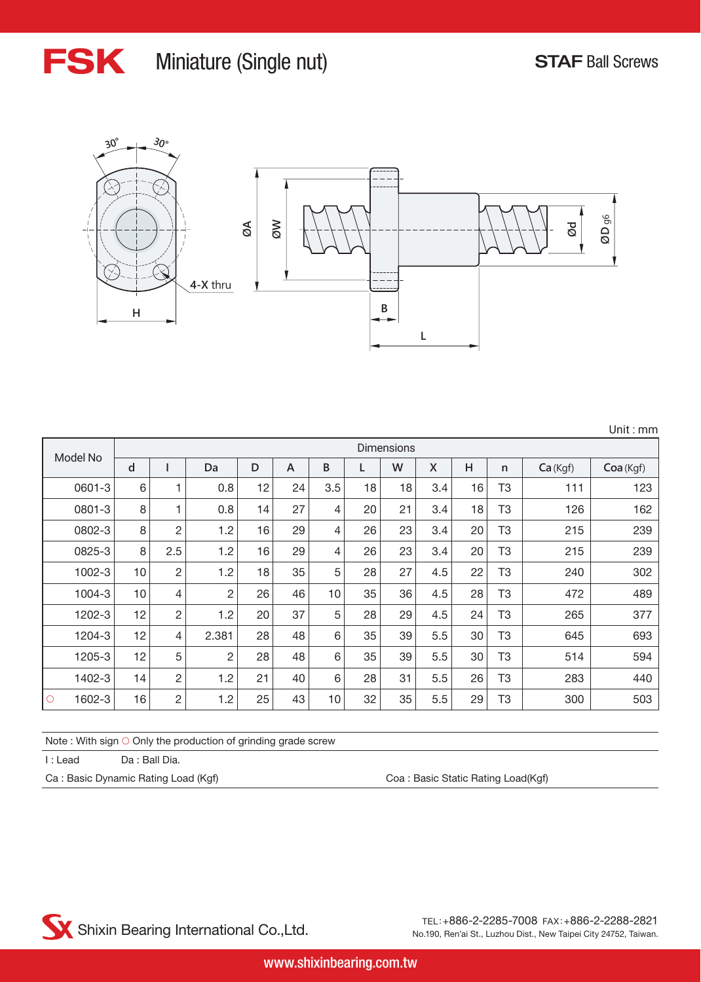Unit : mm

![](_page_7_Picture_1.jpeg)

### FSK Miniature (Single nut) STAF Ball Screws

![](_page_7_Figure_3.jpeg)

|                   |       |                |                |    |    |     |    | <b>Dimensions</b> |              |    |    |         |           |
|-------------------|-------|----------------|----------------|----|----|-----|----|-------------------|--------------|----|----|---------|-----------|
| Model No          | d     |                | Da             | D  | A  | B   | L  | W                 | $\mathsf{X}$ | H  | n  | Ca(Kgf) | Coa (Kgf) |
| 0601-3            | $6\,$ | 1              | 0.8            | 12 | 24 | 3.5 | 18 | 18                | 3.4          | 16 | T3 | 111     | 123       |
| 0801-3            | 8     | 1              | 0.8            | 14 | 27 | 4   | 20 | 21                | 3.4          | 18 | T3 | 126     | 162       |
| 0802-3            | 8     | $\overline{c}$ | 1.2            | 16 | 29 | 4   | 26 | 23                | 3.4          | 20 | T3 | 215     | 239       |
| 0825-3            | 8     | 2.5            | 1.2            | 16 | 29 | 4   | 26 | 23                | 3.4          | 20 | T3 | 215     | 239       |
| 1002-3            | 10    | $\sqrt{2}$     | 1.2            | 18 | 35 | 5   | 28 | 27                | 4.5          | 22 | T3 | 240     | 302       |
| 1004-3            | 10    | 4              | $\overline{2}$ | 26 | 46 | 10  | 35 | 36                | 4.5          | 28 | T3 | 472     | 489       |
| 1202-3            | 12    | $\overline{c}$ | 1.2            | 20 | 37 | 5   | 28 | 29                | 4.5          | 24 | T3 | 265     | 377       |
| 1204-3            | 12    | 4              | 2.381          | 28 | 48 | 6   | 35 | 39                | 5.5          | 30 | T3 | 645     | 693       |
| 1205-3            | 12    | 5              | $\overline{c}$ | 28 | 48 | 6   | 35 | 39                | 5.5          | 30 | T3 | 514     | 594       |
| 1402-3            | 14    | $\overline{c}$ | 1.2            | 21 | 40 | 6   | 28 | 31                | 5.5          | 26 | T3 | 283     | 440       |
| 1602-3<br>$\circ$ | 16    | $\overline{c}$ | 1.2            | 25 | 43 | 10  | 32 | 35                | 5.5          | 29 | T3 | 300     | 503       |

Note : With sign ○ Only the production of grinding grade screw

I : Lead Da : Ball Dia.

Ca : Basic Dynamic Rating Load (Kgf) Coa : Basic Static Rating Load(Kgf)

![](_page_7_Picture_9.jpeg)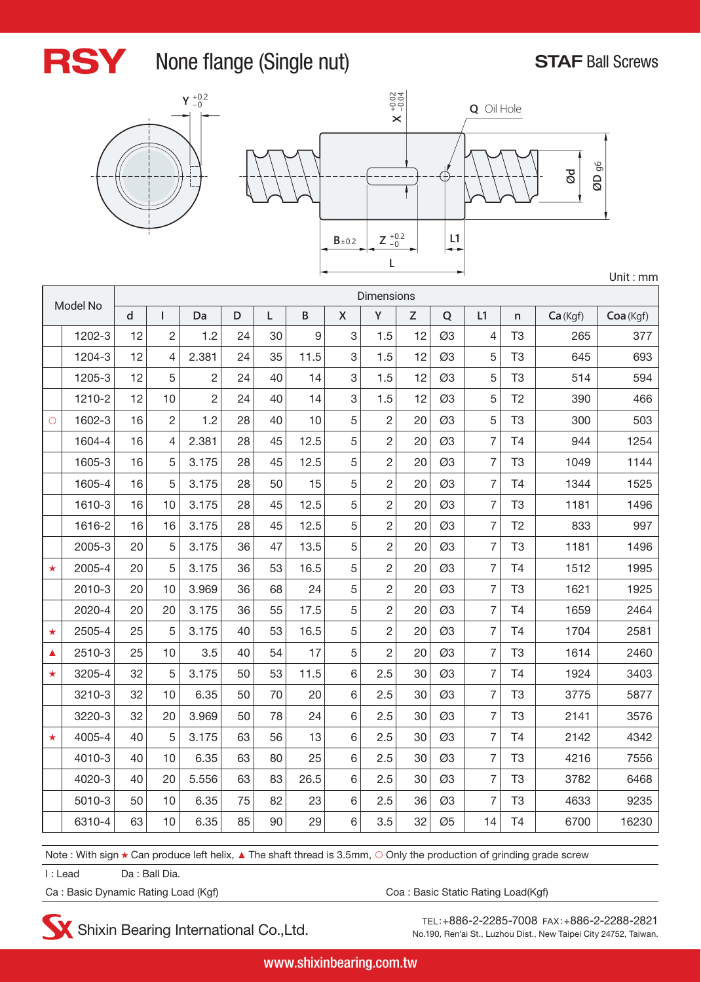![](_page_8_Picture_0.jpeg)

#### RSY None flange (Single nut) STAF Ball Screws

![](_page_8_Figure_3.jpeg)

![](_page_8_Figure_4.jpeg)

| Model No |        | <b>Dimensions</b> |                |                |             |    |          |                    |                |    |    |                |                |         |           |
|----------|--------|-------------------|----------------|----------------|-------------|----|----------|--------------------|----------------|----|----|----------------|----------------|---------|-----------|
|          |        | $\mathsf{d}$      | T              | Da             | $\mathsf D$ | Г  | $\sf{B}$ | $\pmb{\mathsf{X}}$ | Y              | Z  | Q  | L1             | $\mathsf{n}$   | Ca(Kgf) | Coa (Kgf) |
|          | 1202-3 | 12                | $\overline{2}$ | 1.2            | 24          | 30 | 9        | 3                  | 1.5            | 12 | Ø3 | 4              | T <sub>3</sub> | 265     | 377       |
|          | 1204-3 | 12                | 4              | 2.381          | 24          | 35 | 11.5     | 3                  | 1.5            | 12 | Ø3 | 5              | T <sub>3</sub> | 645     | 693       |
|          | 1205-3 | 12                | 5              | $\overline{c}$ | 24          | 40 | 14       | 3                  | 1.5            | 12 | Ø3 | 5              | T <sub>3</sub> | 514     | 594       |
|          | 1210-2 | 12                | 10             | $\overline{2}$ | 24          | 40 | 14       | 3                  | 1.5            | 12 | Ø3 | 5              | T <sub>2</sub> | 390     | 466       |
| $\circ$  | 1602-3 | 16                | $\overline{c}$ | 1.2            | 28          | 40 | 10       | 5                  | $\overline{c}$ | 20 | Ø3 | 5              | T <sub>3</sub> | 300     | 503       |
|          | 1604-4 | 16                | 4              | 2.381          | 28          | 45 | 12.5     | 5                  | $\overline{2}$ | 20 | Ø3 | $\overline{7}$ | T <sub>4</sub> | 944     | 1254      |
|          | 1605-3 | 16                | 5              | 3.175          | 28          | 45 | 12.5     | 5                  | $\overline{c}$ | 20 | Ø3 | 7              | T <sub>3</sub> | 1049    | 1144      |
|          | 1605-4 | 16                | 5              | 3.175          | 28          | 50 | 15       | 5                  | $\overline{c}$ | 20 | Ø3 | 7              | T <sub>4</sub> | 1344    | 1525      |
|          | 1610-3 | 16                | 10             | 3.175          | 28          | 45 | 12.5     | 5                  | $\overline{c}$ | 20 | Ø3 | 7              | T <sub>3</sub> | 1181    | 1496      |
|          | 1616-2 | 16                | 16             | 3.175          | 28          | 45 | 12.5     | 5                  | $\overline{2}$ | 20 | Ø3 | $\overline{7}$ | T <sub>2</sub> | 833     | 997       |
|          | 2005-3 | 20                | 5              | 3.175          | 36          | 47 | 13.5     | 5                  | $\overline{2}$ | 20 | Ø3 | $\overline{7}$ | T <sub>3</sub> | 1181    | 1496      |
| $\star$  | 2005-4 | 20                | 5              | 3.175          | 36          | 53 | 16.5     | 5                  | $\overline{2}$ | 20 | Ø3 | 7              | T <sub>4</sub> | 1512    | 1995      |
|          | 2010-3 | 20                | 10             | 3.969          | 36          | 68 | 24       | 5                  | $\overline{c}$ | 20 | Ø3 | $\overline{7}$ | T <sub>3</sub> | 1621    | 1925      |
|          | 2020-4 | 20                | 20             | 3.175          | 36          | 55 | 17.5     | 5                  | $\overline{c}$ | 20 | Ø3 | $\overline{7}$ | <b>T4</b>      | 1659    | 2464      |
| $\star$  | 2505-4 | 25                | 5              | 3.175          | 40          | 53 | 16.5     | 5                  | $\overline{2}$ | 20 | Ø3 | $\overline{7}$ | T <sub>4</sub> | 1704    | 2581      |
| ▲        | 2510-3 | 25                | 10             | 3.5            | 40          | 54 | 17       | 5                  | $\overline{2}$ | 20 | Ø3 | 7              | T <sub>3</sub> | 1614    | 2460      |
| $\star$  | 3205-4 | 32                | 5              | 3.175          | 50          | 53 | 11.5     | 6                  | 2.5            | 30 | Ø3 | 7              | T <sub>4</sub> | 1924    | 3403      |
|          | 3210-3 | 32                | 10             | 6.35           | 50          | 70 | 20       | 6                  | 2.5            | 30 | Ø3 | 7              | T <sub>3</sub> | 3775    | 5877      |
|          | 3220-3 | 32                | 20             | 3.969          | 50          | 78 | 24       | 6                  | 2.5            | 30 | Ø3 | $\overline{7}$ | T <sub>3</sub> | 2141    | 3576      |
| $\star$  | 4005-4 | 40                | 5              | 3.175          | 63          | 56 | 13       | 6                  | 2.5            | 30 | Ø3 | 7              | T <sub>4</sub> | 2142    | 4342      |
|          | 4010-3 | 40                | 10             | 6.35           | 63          | 80 | 25       | 6                  | 2.5            | 30 | Ø3 | $\overline{7}$ | T <sub>3</sub> | 4216    | 7556      |
|          | 4020-3 | 40                | 20             | 5.556          | 63          | 83 | 26.5     | 6                  | 2.5            | 30 | Ø3 | $\overline{7}$ | T <sub>3</sub> | 3782    | 6468      |
|          | 5010-3 | 50                | 10             | 6.35           | 75          | 82 | 23       | 6                  | 2.5            | 36 | Ø3 | $\overline{7}$ | T <sub>3</sub> | 4633    | 9235      |
|          | 6310-4 | 63                | 10             | 6.35           | 85          | 90 | 29       | 6                  | 3.5            | 32 | Ø5 | 14             | <b>T4</b>      | 6700    | 16230     |

Note : With sign ★ Can produce left helix, ▲ The shaft thread is 3.5mm, ○ Only the production of grinding grade screw

I : Lead Da : Ball Dia.

Ca: Basic Dynamic Rating Load (Kgf) Ca: Basic Static Rating Load(Kgf)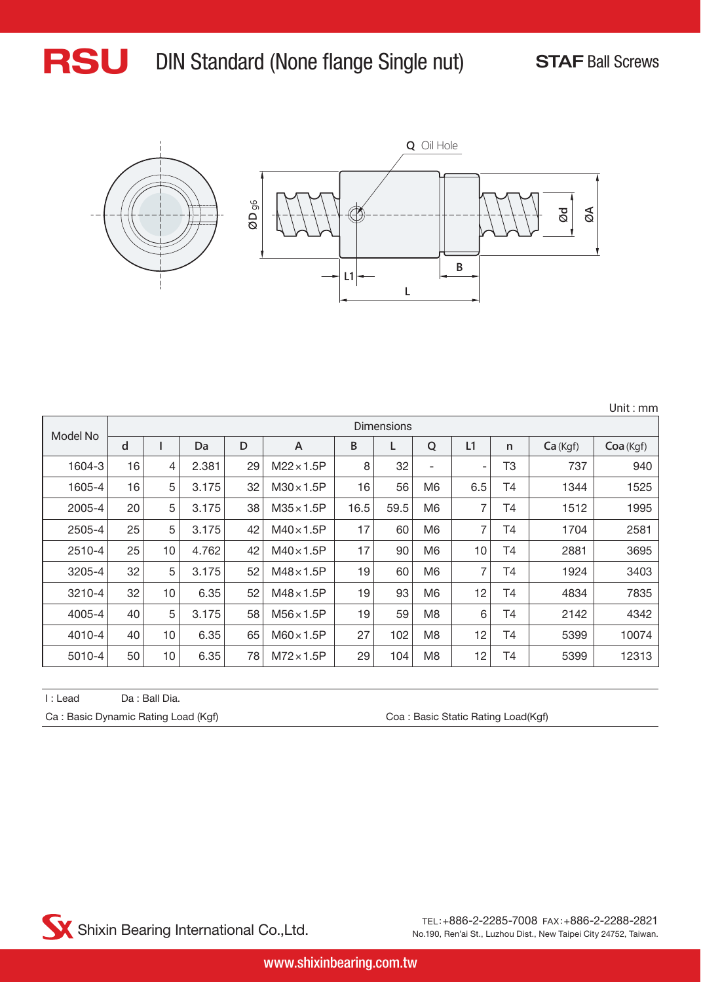![](_page_9_Picture_0.jpeg)

![](_page_9_Figure_3.jpeg)

|          |    |            |       |    |                   |      |      |                |                          |              |         | Unit: mm  |  |  |
|----------|----|------------|-------|----|-------------------|------|------|----------------|--------------------------|--------------|---------|-----------|--|--|
|          |    | Dimensions |       |    |                   |      |      |                |                          |              |         |           |  |  |
| Model No | d  |            | Da    | D  | A                 | В    | L    | Q              | L1                       | $\mathsf{n}$ | Ca(Kgf) | Coa (Kgf) |  |  |
| 1604-3   | 16 | 4          | 2.381 | 29 | $M22 \times 1.5P$ | 8    | 32   | ٠              | $\overline{\phantom{a}}$ | T3           | 737     | 940       |  |  |
| 1605-4   | 16 | 5          | 3.175 | 32 | $M30\times1.5P$   | 16   | 56   | M <sub>6</sub> | 6.5                      | Τ4           | 1344    | 1525      |  |  |
| 2005-4   | 20 | 5          | 3.175 | 38 | $M35 \times 1.5P$ | 16.5 | 59.5 | M6             | 7                        | Τ4           | 1512    | 1995      |  |  |
| 2505-4   | 25 | 5          | 3.175 | 42 | $M40\times1.5P$   | 17   | 60   | M6             | 7                        | Τ4           | 1704    | 2581      |  |  |
| 2510-4   | 25 | 10         | 4.762 | 42 | $M40\times1.5P$   | 17   | 90   | M6             | 10                       | <b>T4</b>    | 2881    | 3695      |  |  |
| 3205-4   | 32 | 5          | 3.175 | 52 | $M48\times1.5P$   | 19   | 60   | M <sub>6</sub> | 7                        | T4           | 1924    | 3403      |  |  |
| 3210-4   | 32 | 10         | 6.35  | 52 | $M48\times1.5P$   | 19   | 93   | M <sub>6</sub> | 12                       | Τ4           | 4834    | 7835      |  |  |
| 4005-4   | 40 | 5          | 3.175 | 58 | $M56\times1.5P$   | 19   | 59   | M <sub>8</sub> | 6                        | T4           | 2142    | 4342      |  |  |
| 4010-4   | 40 | 10         | 6.35  | 65 | $M60\times1.5P$   | 27   | 102  | M <sub>8</sub> | 12                       | Τ4           | 5399    | 10074     |  |  |
| 5010-4   | 50 | 10         | 6.35  | 78 | $M72\times1.5P$   | 29   | 104  | M <sub>8</sub> | 12                       | T4           | 5399    | 12313     |  |  |

| I : Lead | Da : Ball Dia.                      |                                    |
|----------|-------------------------------------|------------------------------------|
|          | Ca: Basic Dynamic Rating Load (Kgf) | Coa: Basic Static Rating Load(Kgf) |

![](_page_9_Picture_6.jpeg)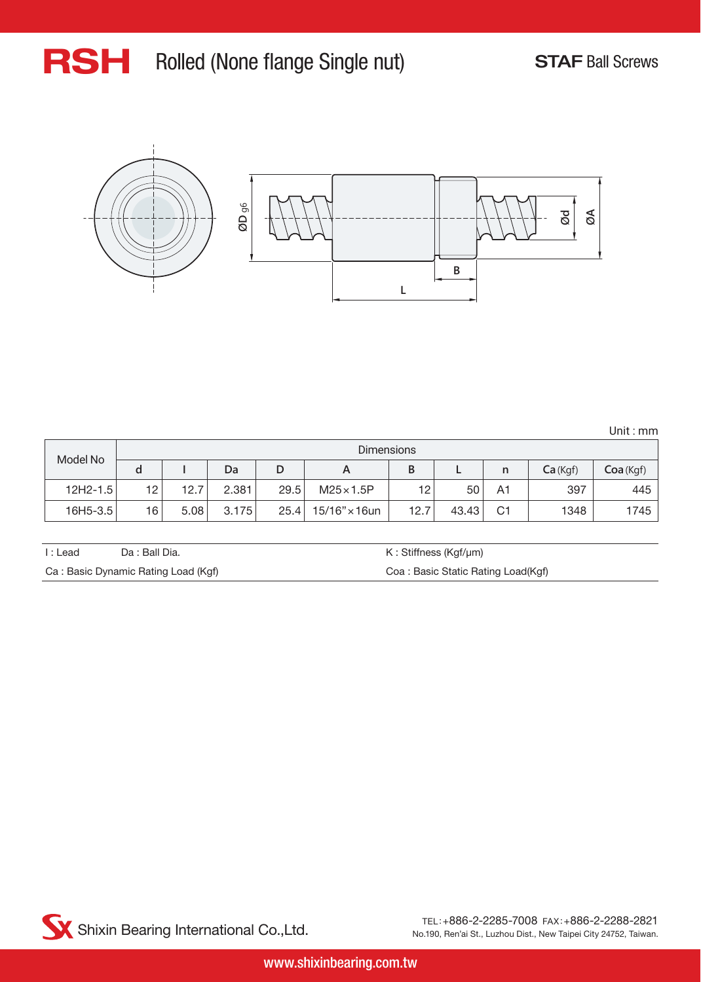## RSH Rolled (None flange Single nut) STAF Ball Screws

![](_page_10_Figure_2.jpeg)

Unit : mm

|              |                 | <b>Dimensions</b> |       |      |                       |      |       |                |         |          |
|--------------|-----------------|-------------------|-------|------|-----------------------|------|-------|----------------|---------|----------|
| Model No     | a               |                   | Da    | D    | A                     | В    |       | n              | Ca(Kgf) | Coa(Kgf) |
| $12H2 - 1.5$ | 12              | 12.7              | 2.381 | 29.5 | $M25\times1.5P$       | 12   | 50    | A <sup>1</sup> | 397     | 445      |
| 16H5-3.5     | 16 <sub>1</sub> | 5.08              | 3.175 | 25.4 | $15/16" \times 16$ un | 12.7 | 43.43 | C <sub>1</sub> | 1348    | 1745     |

| I : Lead | Da : Ball Dia.                      | K: Stiffness (Kgf/µm)              |
|----------|-------------------------------------|------------------------------------|
|          | Ca: Basic Dynamic Rating Load (Kgf) | Coa: Basic Static Rating Load(Kgf) |